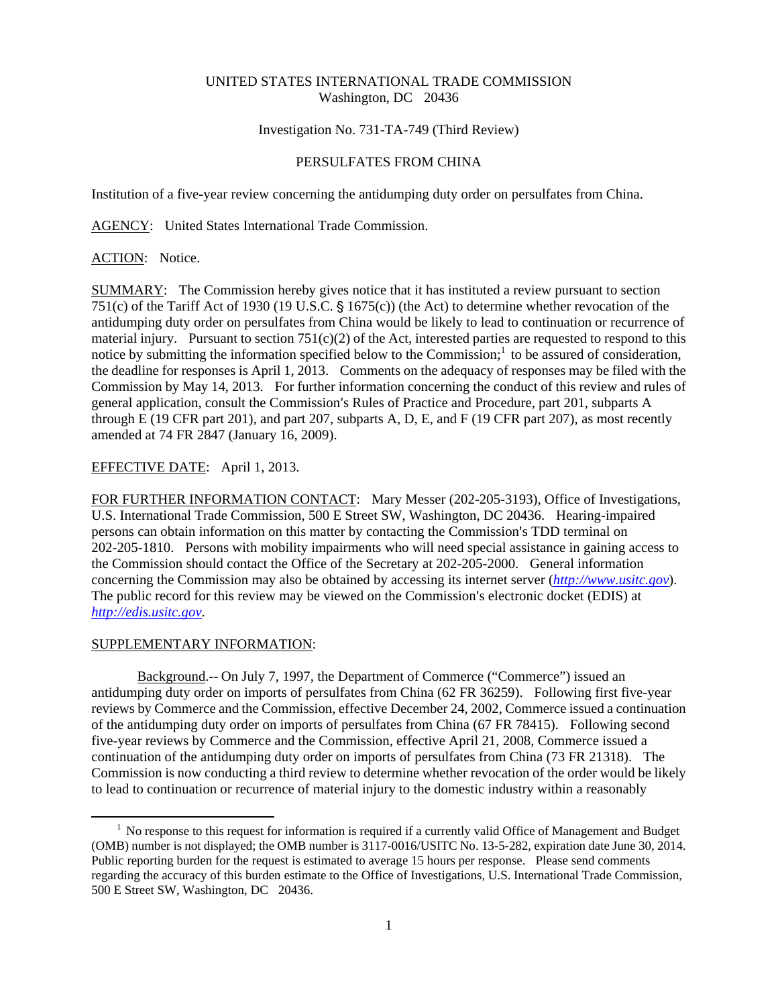## UNITED STATES INTERNATIONAL TRADE COMMISSION Washington, DC 20436

## Investigation No. 731-TA-749 (Third Review)

### PERSULFATES FROM CHINA

Institution of a five-year review concerning the antidumping duty order on persulfates from China.

AGENCY: United States International Trade Commission.

### ACTION: Notice.

SUMMARY: The Commission hereby gives notice that it has instituted a review pursuant to section 751(c) of the Tariff Act of 1930 (19 U.S.C.  $\S$  1675(c)) (the Act) to determine whether revocation of the antidumping duty order on persulfates from China would be likely to lead to continuation or recurrence of material injury. Pursuant to section  $751(c)(2)$  of the Act, interested parties are requested to respond to this notice by submitting the information specified below to the Commission; $<sup>1</sup>$  to be assured of consideration,</sup> the deadline for responses is April 1, 2013. Comments on the adequacy of responses may be filed with the Commission by May 14, 2013. For further information concerning the conduct of this review and rules of general application, consult the Commission's Rules of Practice and Procedure, part 201, subparts A through E (19 CFR part 201), and part 207, subparts A, D, E, and F (19 CFR part 207), as most recently amended at 74 FR 2847 (January 16, 2009).

# EFFECTIVE DATE: April 1, 2013.

FOR FURTHER INFORMATION CONTACT: Mary Messer (202-205-3193), Office of Investigations, U.S. International Trade Commission, 500 E Street SW, Washington, DC 20436. Hearing-impaired persons can obtain information on this matter by contacting the Commission's TDD terminal on 202-205-1810. Persons with mobility impairments who will need special assistance in gaining access to the Commission should contact the Office of the Secretary at 202-205-2000. General information concerning the Commission may also be obtained by accessing its internet server (*http://www.usitc.gov*). The public record for this review may be viewed on the Commission's electronic docket (EDIS) at *http://edis.usitc.gov*.

## SUPPLEMENTARY INFORMATION:

 $\overline{a}$ 

Background.-- On July 7, 1997, the Department of Commerce ("Commerce") issued an antidumping duty order on imports of persulfates from China (62 FR 36259). Following first five-year reviews by Commerce and the Commission, effective December 24, 2002, Commerce issued a continuation of the antidumping duty order on imports of persulfates from China (67 FR 78415). Following second five-year reviews by Commerce and the Commission, effective April 21, 2008, Commerce issued a continuation of the antidumping duty order on imports of persulfates from China (73 FR 21318). The Commission is now conducting a third review to determine whether revocation of the order would be likely to lead to continuation or recurrence of material injury to the domestic industry within a reasonably

<sup>&</sup>lt;sup>1</sup> No response to this request for information is required if a currently valid Office of Management and Budget (OMB) number is not displayed; the OMB number is 3117-0016/USITC No. 13-5-282, expiration date June 30, 2014. Public reporting burden for the request is estimated to average 15 hours per response. Please send comments regarding the accuracy of this burden estimate to the Office of Investigations, U.S. International Trade Commission, 500 E Street SW, Washington, DC 20436.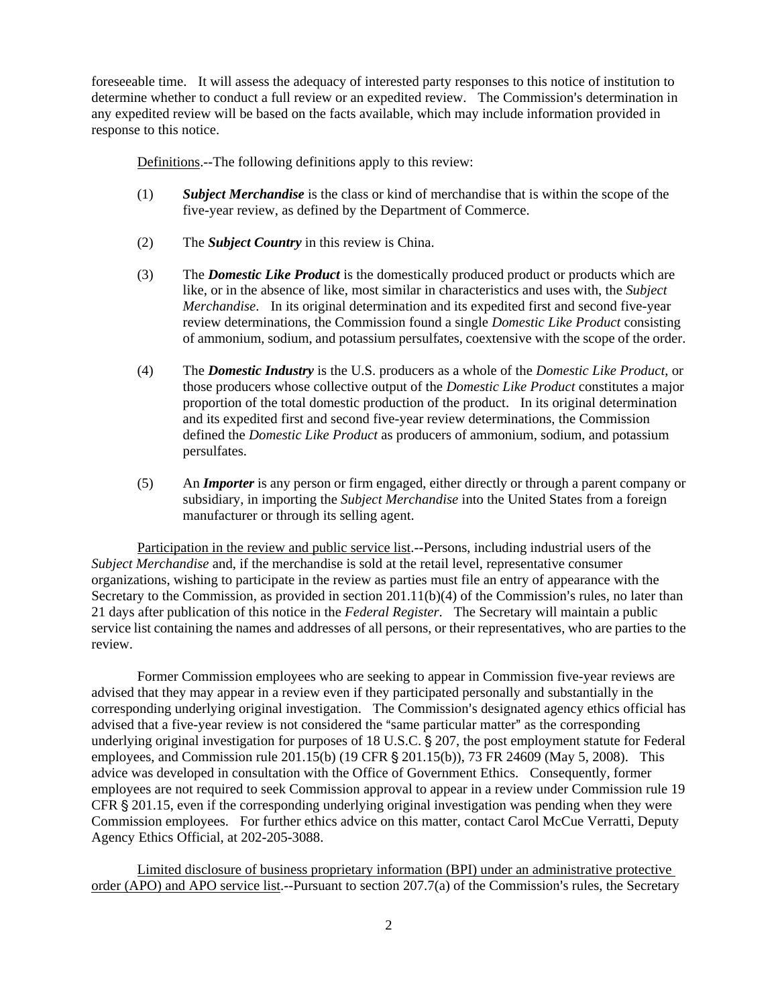foreseeable time. It will assess the adequacy of interested party responses to this notice of institution to determine whether to conduct a full review or an expedited review. The Commission's determination in any expedited review will be based on the facts available, which may include information provided in response to this notice.

Definitions.--The following definitions apply to this review:

- (1) *Subject Merchandise* is the class or kind of merchandise that is within the scope of the five-year review, as defined by the Department of Commerce.
- (2) The *Subject Country* in this review is China.
- (3) The *Domestic Like Product* is the domestically produced product or products which are like, or in the absence of like, most similar in characteristics and uses with, the *Subject Merchandise*. In its original determination and its expedited first and second five-year review determinations, the Commission found a single *Domestic Like Product* consisting of ammonium, sodium, and potassium persulfates, coextensive with the scope of the order.
- (4) The *Domestic Industry* is the U.S. producers as a whole of the *Domestic Like Product*, or those producers whose collective output of the *Domestic Like Product* constitutes a major proportion of the total domestic production of the product. In its original determination and its expedited first and second five-year review determinations, the Commission defined the *Domestic Like Product* as producers of ammonium, sodium, and potassium persulfates.
- (5) An *Importer* is any person or firm engaged, either directly or through a parent company or subsidiary, in importing the *Subject Merchandise* into the United States from a foreign manufacturer or through its selling agent.

Participation in the review and public service list.--Persons, including industrial users of the *Subject Merchandise* and, if the merchandise is sold at the retail level, representative consumer organizations, wishing to participate in the review as parties must file an entry of appearance with the Secretary to the Commission, as provided in section  $201.11(b)(4)$  of the Commission's rules, no later than 21 days after publication of this notice in the *Federal Register*. The Secretary will maintain a public service list containing the names and addresses of all persons, or their representatives, who are parties to the review.

Former Commission employees who are seeking to appear in Commission five-year reviews are advised that they may appear in a review even if they participated personally and substantially in the corresponding underlying original investigation. The Commission's designated agency ethics official has advised that a five-year review is not considered the "same particular matter" as the corresponding underlying original investigation for purposes of  $18$  U.S.C.  $\S$  207, the post employment statute for Federal employees, and Commission rule 201.15(b) (19 CFR  $\S$  201.15(b)), 73 FR 24609 (May 5, 2008). This advice was developed in consultation with the Office of Government Ethics. Consequently, former employees are not required to seek Commission approval to appear in a review under Commission rule 19 CFR  $\S 201.15$ , even if the corresponding underlying original investigation was pending when they were Commission employees. For further ethics advice on this matter, contact Carol McCue Verratti, Deputy Agency Ethics Official, at 202-205-3088.

Limited disclosure of business proprietary information (BPI) under an administrative protective order (APO) and APO service list.--Pursuant to section  $207.7(a)$  of the Commission's rules, the Secretary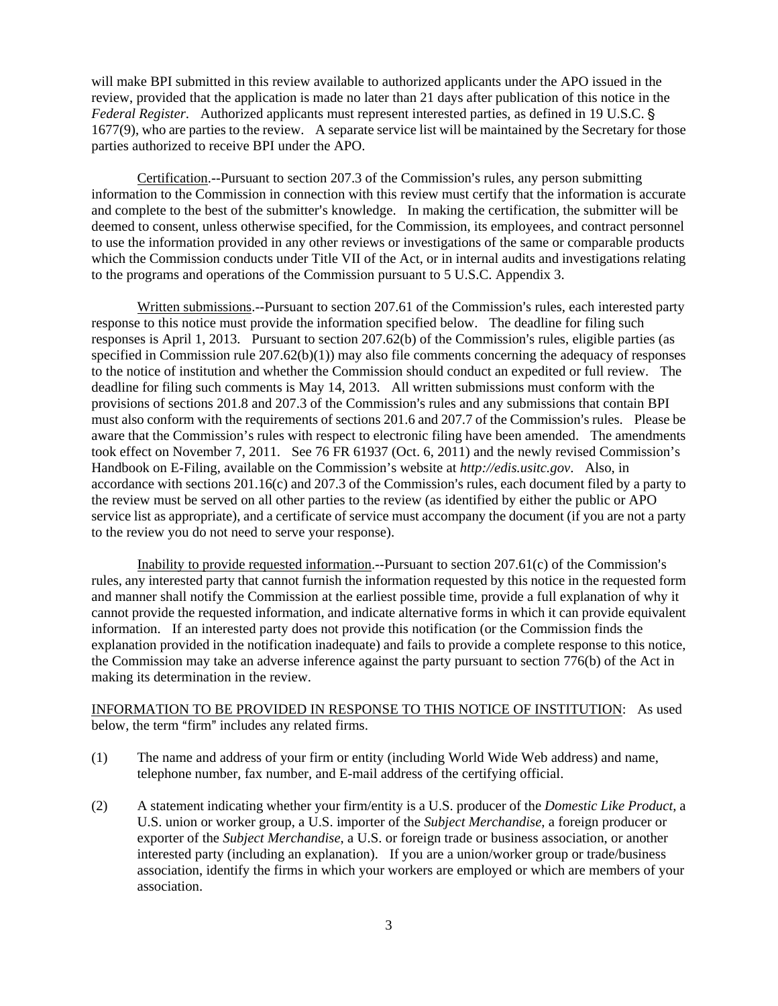will make BPI submitted in this review available to authorized applicants under the APO issued in the review, provided that the application is made no later than 21 days after publication of this notice in the *Federal Register.* Authorized applicants must represent interested parties, as defined in 19 U.S.C. § 1677(9), who are parties to the review. A separate service list will be maintained by the Secretary for those parties authorized to receive BPI under the APO.

Certification.--Pursuant to section 207.3 of the Commission's rules, any person submitting information to the Commission in connection with this review must certify that the information is accurate and complete to the best of the submitter's knowledge. In making the certification, the submitter will be deemed to consent, unless otherwise specified, for the Commission, its employees, and contract personnel to use the information provided in any other reviews or investigations of the same or comparable products which the Commission conducts under Title VII of the Act, or in internal audits and investigations relating to the programs and operations of the Commission pursuant to 5 U.S.C. Appendix 3.

Written submissions.--Pursuant to section 207.61 of the Commission's rules, each interested party response to this notice must provide the information specified below. The deadline for filing such responses is April 1, 2013. Pursuant to section  $207.62(b)$  of the Commission's rules, eligible parties (as specified in Commission rule  $207.62(b)(1)$  may also file comments concerning the adequacy of responses to the notice of institution and whether the Commission should conduct an expedited or full review. The deadline for filing such comments is May 14, 2013. All written submissions must conform with the provisions of sections 201.8 and 207.3 of the Commission's rules and any submissions that contain BPI must also conform with the requirements of sections 201.6 and 207.7 of the Commission's rules. Please be aware that the Commission's rules with respect to electronic filing have been amended. The amendments took effect on November 7, 2011. See 76 FR 61937 (Oct. 6, 2011) and the newly revised Commission's Handbook on E-Filing, available on the Commission's website at *http://edis.usitc.gov*. Also, in accordance with sections  $201.16(c)$  and  $207.3$  of the Commission's rules, each document filed by a party to the review must be served on all other parties to the review (as identified by either the public or APO service list as appropriate), and a certificate of service must accompany the document (if you are not a party to the review you do not need to serve your response).

Inability to provide requested information.--Pursuant to section  $207.61(c)$  of the Commission's rules, any interested party that cannot furnish the information requested by this notice in the requested form and manner shall notify the Commission at the earliest possible time, provide a full explanation of why it cannot provide the requested information, and indicate alternative forms in which it can provide equivalent information. If an interested party does not provide this notification (or the Commission finds the explanation provided in the notification inadequate) and fails to provide a complete response to this notice, the Commission may take an adverse inference against the party pursuant to section 776(b) of the Act in making its determination in the review.

# INFORMATION TO BE PROVIDED IN RESPONSE TO THIS NOTICE OF INSTITUTION: As used below, the term "firm" includes any related firms.

- (1) The name and address of your firm or entity (including World Wide Web address) and name, telephone number, fax number, and E-mail address of the certifying official.
- (2) A statement indicating whether your firm/entity is a U.S. producer of the *Domestic Like Product*, a U.S. union or worker group, a U.S. importer of the *Subject Merchandise*, a foreign producer or exporter of the *Subject Merchandise*, a U.S. or foreign trade or business association, or another interested party (including an explanation). If you are a union/worker group or trade/business association, identify the firms in which your workers are employed or which are members of your association.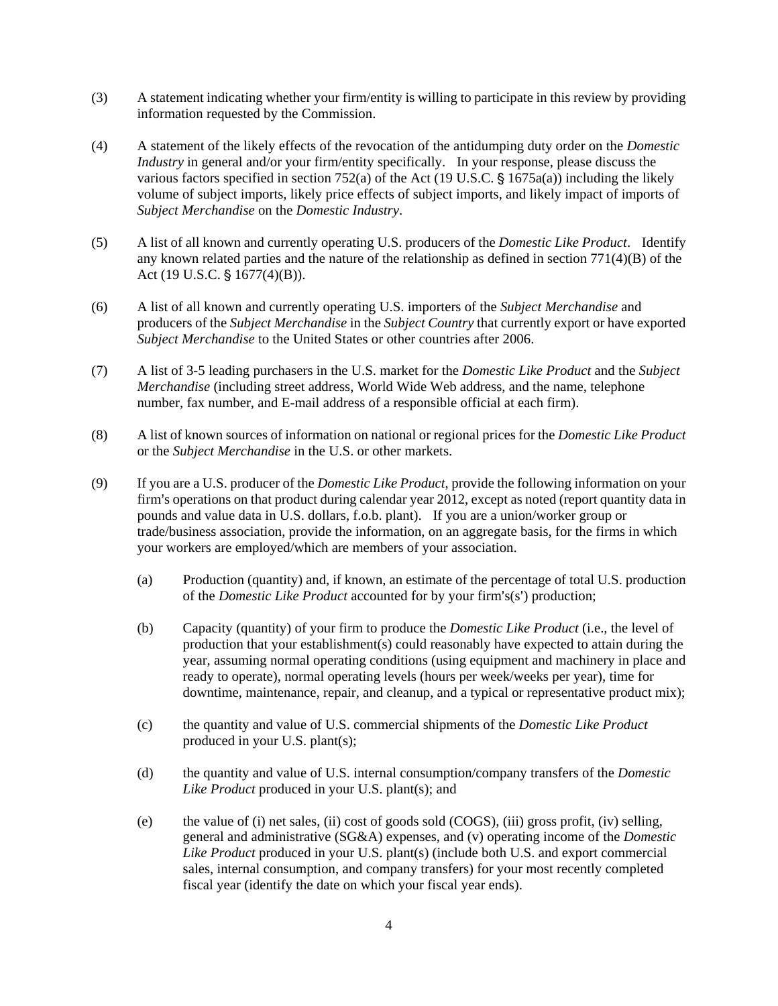- (3) A statement indicating whether your firm/entity is willing to participate in this review by providing information requested by the Commission.
- (4) A statement of the likely effects of the revocation of the antidumping duty order on the *Domestic Industry* in general and/or your firm/entity specifically. In your response, please discuss the various factors specified in section 752(a) of the Act (19 U.S.C.  $\S$  1675a(a)) including the likely volume of subject imports, likely price effects of subject imports, and likely impact of imports of *Subject Merchandise* on the *Domestic Industry*.
- (5) A list of all known and currently operating U.S. producers of the *Domestic Like Product*. Identify any known related parties and the nature of the relationship as defined in section  $771(4)(B)$  of the Act (19 U.S.C.  $$1677(4)(B)$ ).
- (6) A list of all known and currently operating U.S. importers of the *Subject Merchandise* and producers of the *Subject Merchandise* in the *Subject Country* that currently export or have exported *Subject Merchandise* to the United States or other countries after 2006.
- (7) A list of 3-5 leading purchasers in the U.S. market for the *Domestic Like Product* and the *Subject Merchandise* (including street address, World Wide Web address, and the name, telephone number, fax number, and E-mail address of a responsible official at each firm).
- (8) A list of known sources of information on national or regional prices for the *Domestic Like Product* or the *Subject Merchandise* in the U.S. or other markets.
- (9) If you are a U.S. producer of the *Domestic Like Product*, provide the following information on your firm's operations on that product during calendar year 2012, except as noted (report quantity data in pounds and value data in U.S. dollars, f.o.b. plant). If you are a union/worker group or trade/business association, provide the information, on an aggregate basis, for the firms in which your workers are employed/which are members of your association.
	- (a) Production (quantity) and, if known, an estimate of the percentage of total U.S. production of the *Domestic Like Product* accounted for by your firm's(s') production;
	- (b) Capacity (quantity) of your firm to produce the *Domestic Like Product* (i.e., the level of production that your establishment(s) could reasonably have expected to attain during the year, assuming normal operating conditions (using equipment and machinery in place and ready to operate), normal operating levels (hours per week/weeks per year), time for downtime, maintenance, repair, and cleanup, and a typical or representative product mix);
	- (c) the quantity and value of U.S. commercial shipments of the *Domestic Like Product* produced in your U.S. plant(s);
	- (d) the quantity and value of U.S. internal consumption/company transfers of the *Domestic Like Product* produced in your U.S. plant(s); and
	- (e) the value of (i) net sales, (ii) cost of goods sold (COGS), (iii) gross profit, (iv) selling, general and administrative (SG&A) expenses, and (v) operating income of the *Domestic Like Product* produced in your U.S. plant(s) (include both U.S. and export commercial sales, internal consumption, and company transfers) for your most recently completed fiscal year (identify the date on which your fiscal year ends).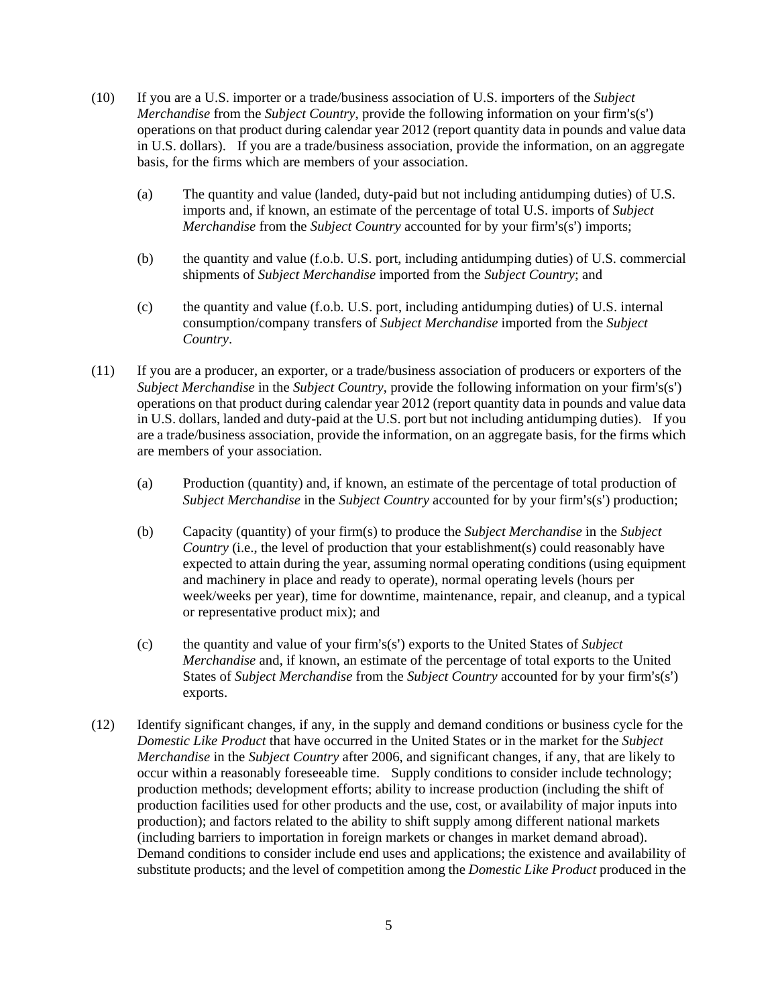- (10) If you are a U.S. importer or a trade/business association of U.S. importers of the *Subject Merchandise* from the *Subject Country*, provide the following information on your firm's(s') operations on that product during calendar year 2012 (report quantity data in pounds and value data in U.S. dollars). If you are a trade/business association, provide the information, on an aggregate basis, for the firms which are members of your association.
	- (a) The quantity and value (landed, duty-paid but not including antidumping duties) of U.S. imports and, if known, an estimate of the percentage of total U.S. imports of *Subject Merchandise* from the *Subject Country* accounted for by your firm's(s') imports;
	- (b) the quantity and value (f.o.b. U.S. port, including antidumping duties) of U.S. commercial shipments of *Subject Merchandise* imported from the *Subject Country*; and
	- (c) the quantity and value (f.o.b. U.S. port, including antidumping duties) of U.S. internal consumption/company transfers of *Subject Merchandise* imported from the *Subject Country*.
- (11) If you are a producer, an exporter, or a trade/business association of producers or exporters of the *Subject Merchandise* in the *Subject Country*, provide the following information on your firm's(s') operations on that product during calendar year 2012 (report quantity data in pounds and value data in U.S. dollars, landed and duty-paid at the U.S. port but not including antidumping duties). If you are a trade/business association, provide the information, on an aggregate basis, for the firms which are members of your association.
	- (a) Production (quantity) and, if known, an estimate of the percentage of total production of *Subject Merchandise* in the *Subject Country* accounted for by your firm's(s<sup>2</sup>) production;
	- (b) Capacity (quantity) of your firm(s) to produce the *Subject Merchandise* in the *Subject Country* (i.e., the level of production that your establishment(s) could reasonably have expected to attain during the year, assuming normal operating conditions (using equipment and machinery in place and ready to operate), normal operating levels (hours per week/weeks per year), time for downtime, maintenance, repair, and cleanup, and a typical or representative product mix); and
	- $(c)$  the quantity and value of your firm's $(s')$  exports to the United States of *Subject Merchandise* and, if known, an estimate of the percentage of total exports to the United States of *Subject Merchandise* from the *Subject Country* accounted for by your firm's(s') exports.
- (12) Identify significant changes, if any, in the supply and demand conditions or business cycle for the *Domestic Like Product* that have occurred in the United States or in the market for the *Subject Merchandise* in the *Subject Country* after 2006, and significant changes, if any, that are likely to occur within a reasonably foreseeable time. Supply conditions to consider include technology; production methods; development efforts; ability to increase production (including the shift of production facilities used for other products and the use, cost, or availability of major inputs into production); and factors related to the ability to shift supply among different national markets (including barriers to importation in foreign markets or changes in market demand abroad). Demand conditions to consider include end uses and applications; the existence and availability of substitute products; and the level of competition among the *Domestic Like Product* produced in the